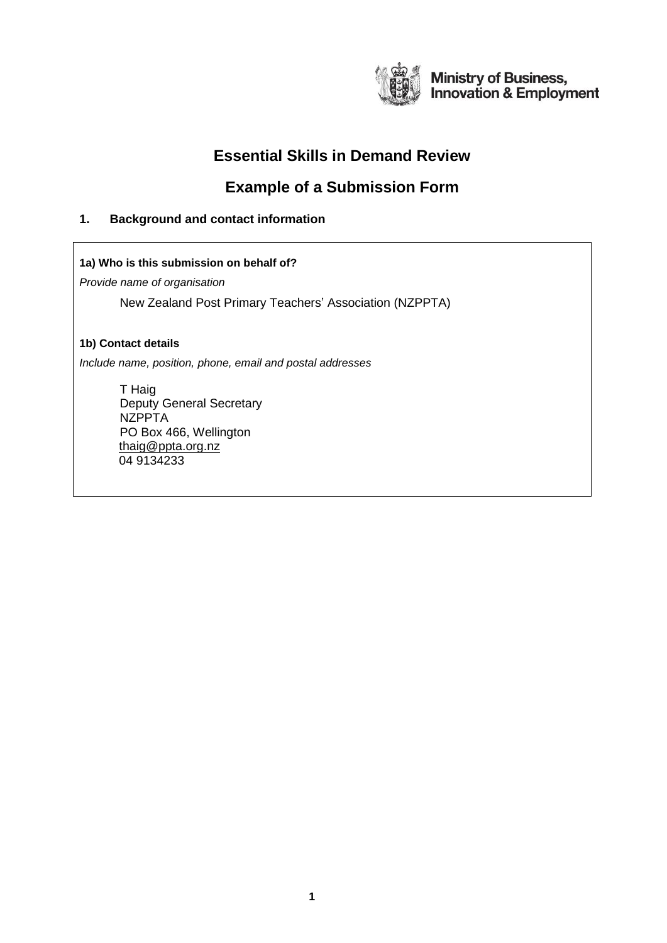

**Ministry of Business,<br>Innovation & Employment** 

# **Essential Skills in Demand Review**

# **Example of a Submission Form**

# **1. Background and contact information**

**1a) Who is this submission on behalf of?** 

*Provide name of organisation*

New Zealand Post Primary Teachers' Association (NZPPTA)

# **1b) Contact details**

*Include name, position, phone, email and postal addresses*

T Haig Deputy General Secretary NZPPTA PO Box 466, Wellington [thaig@ppta.org.nz](mailto:thaig@ppta.org.nz) 04 9134233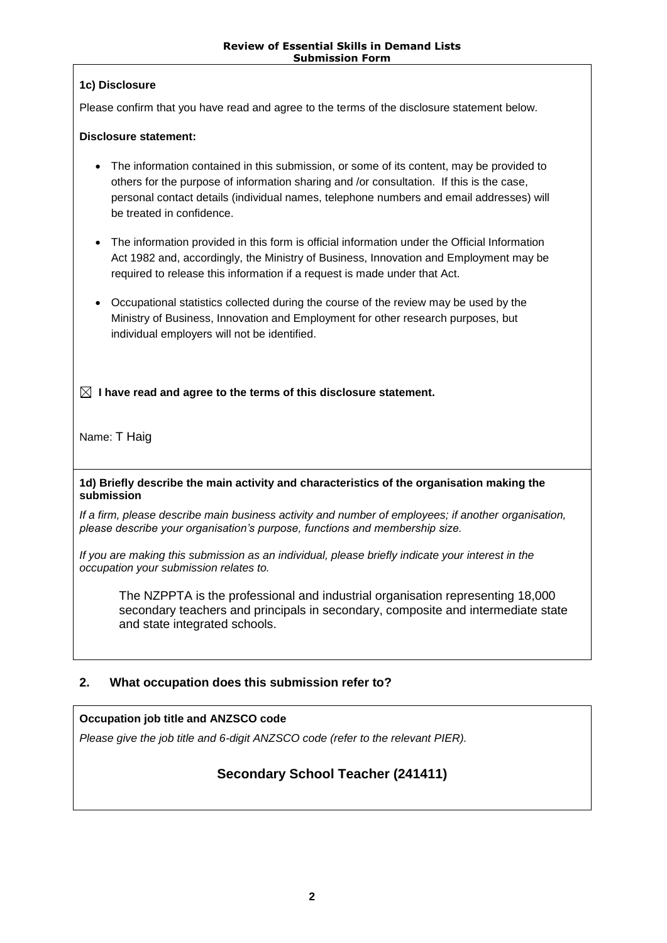# **1c) Disclosure**

Please confirm that you have read and agree to the terms of the disclosure statement below.

### **Disclosure statement:**

- The information contained in this submission, or some of its content, may be provided to others for the purpose of information sharing and /or consultation. If this is the case, personal contact details (individual names, telephone numbers and email addresses) will be treated in confidence.
- The information provided in this form is official information under the Official Information Act 1982 and, accordingly, the Ministry of Business, Innovation and Employment may be required to release this information if a request is made under that Act.
- Occupational statistics collected during the course of the review may be used by the Ministry of Business, Innovation and Employment for other research purposes, but individual employers will not be identified.

 **I have read and agree to the terms of this disclosure statement.**

Name: T Haig

#### **1d) Briefly describe the main activity and characteristics of the organisation making the submission**

*If a firm, please describe main business activity and number of employees; if another organisation, please describe your organisation's purpose, functions and membership size.*

*If you are making this submission as an individual, please briefly indicate your interest in the occupation your submission relates to.*

The NZPPTA is the professional and industrial organisation representing 18,000 secondary teachers and principals in secondary, composite and intermediate state and state integrated schools.

# **2. What occupation does this submission refer to?**

# **Occupation job title and ANZSCO code**

*Please give the job title and 6-digit ANZSCO code (refer to the relevant PIER).*

# **Secondary School Teacher (241411)**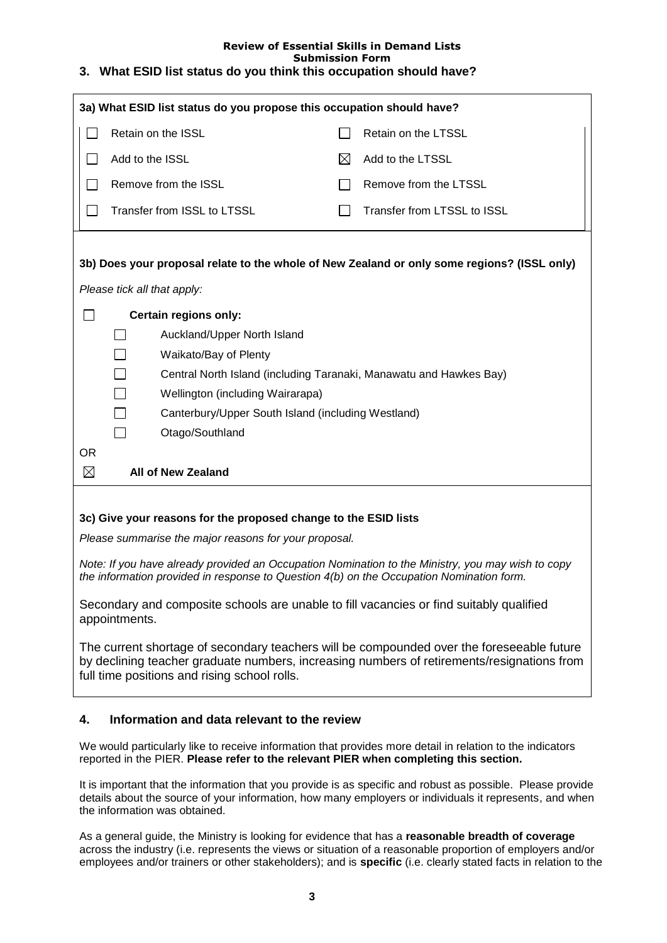#### **Review of Essential Skills in Demand Lists Submission Form 3. What ESID list status do you think this occupation should have?**

| 3a) What ESID list status do you propose this occupation should have?                                                                                                                         |                                                                                                                                                                                                                                         |                                                                    |                             |  |
|-----------------------------------------------------------------------------------------------------------------------------------------------------------------------------------------------|-----------------------------------------------------------------------------------------------------------------------------------------------------------------------------------------------------------------------------------------|--------------------------------------------------------------------|-----------------------------|--|
|                                                                                                                                                                                               | Retain on the ISSL                                                                                                                                                                                                                      |                                                                    | Retain on the LTSSL         |  |
|                                                                                                                                                                                               | Add to the ISSL                                                                                                                                                                                                                         | $\bowtie$                                                          | Add to the LTSSL            |  |
|                                                                                                                                                                                               | Remove from the ISSL                                                                                                                                                                                                                    |                                                                    | Remove from the LTSSL       |  |
|                                                                                                                                                                                               | Transfer from ISSL to LTSSL                                                                                                                                                                                                             |                                                                    | Transfer from LTSSL to ISSL |  |
|                                                                                                                                                                                               |                                                                                                                                                                                                                                         |                                                                    |                             |  |
| 3b) Does your proposal relate to the whole of New Zealand or only some regions? (ISSL only)                                                                                                   |                                                                                                                                                                                                                                         |                                                                    |                             |  |
| Please tick all that apply:                                                                                                                                                                   |                                                                                                                                                                                                                                         |                                                                    |                             |  |
|                                                                                                                                                                                               | Certain regions only:                                                                                                                                                                                                                   |                                                                    |                             |  |
|                                                                                                                                                                                               | Auckland/Upper North Island                                                                                                                                                                                                             |                                                                    |                             |  |
|                                                                                                                                                                                               | Waikato/Bay of Plenty                                                                                                                                                                                                                   |                                                                    |                             |  |
|                                                                                                                                                                                               |                                                                                                                                                                                                                                         | Central North Island (including Taranaki, Manawatu and Hawkes Bay) |                             |  |
|                                                                                                                                                                                               |                                                                                                                                                                                                                                         | Wellington (including Wairarapa)                                   |                             |  |
|                                                                                                                                                                                               |                                                                                                                                                                                                                                         | Canterbury/Upper South Island (including Westland)                 |                             |  |
|                                                                                                                                                                                               | $\Box$<br>Otago/Southland                                                                                                                                                                                                               |                                                                    |                             |  |
| 0R                                                                                                                                                                                            |                                                                                                                                                                                                                                         |                                                                    |                             |  |
| $\boxtimes$                                                                                                                                                                                   | <b>All of New Zealand</b>                                                                                                                                                                                                               |                                                                    |                             |  |
|                                                                                                                                                                                               |                                                                                                                                                                                                                                         |                                                                    |                             |  |
| 3c) Give your reasons for the proposed change to the ESID lists                                                                                                                               |                                                                                                                                                                                                                                         |                                                                    |                             |  |
| Please summarise the major reasons for your proposal.                                                                                                                                         |                                                                                                                                                                                                                                         |                                                                    |                             |  |
| Note: If you have already provided an Occupation Nomination to the Ministry, you may wish to copy<br>the information provided in response to Question 4(b) on the Occupation Nomination form. |                                                                                                                                                                                                                                         |                                                                    |                             |  |
| Secondary and composite schools are unable to fill vacancies or find suitably qualified<br>appointments.                                                                                      |                                                                                                                                                                                                                                         |                                                                    |                             |  |
|                                                                                                                                                                                               | The current shortage of secondary teachers will be compounded over the foreseeable future<br>by declining teacher graduate numbers, increasing numbers of retirements/resignations from<br>full time positions and rising school rolls. |                                                                    |                             |  |

# **4. Information and data relevant to the review**

We would particularly like to receive information that provides more detail in relation to the indicators reported in the PIER. **Please refer to the relevant PIER when completing this section.**

It is important that the information that you provide is as specific and robust as possible. Please provide details about the source of your information, how many employers or individuals it represents, and when the information was obtained.

As a general guide, the Ministry is looking for evidence that has a **reasonable breadth of coverage** across the industry (i.e. represents the views or situation of a reasonable proportion of employers and/or employees and/or trainers or other stakeholders); and is **specific** (i.e. clearly stated facts in relation to the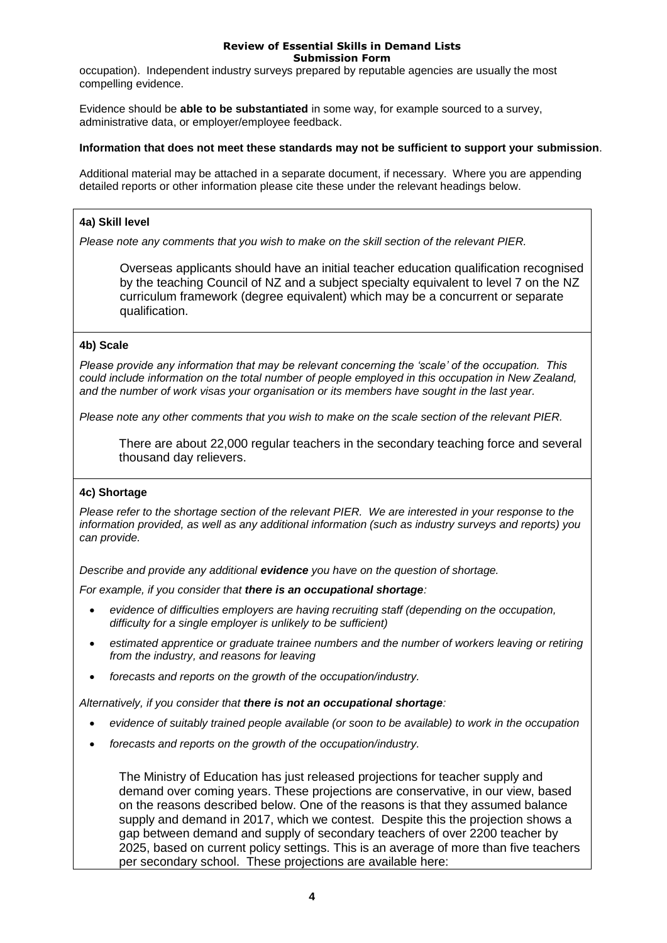occupation). Independent industry surveys prepared by reputable agencies are usually the most compelling evidence.

Evidence should be **able to be substantiated** in some way, for example sourced to a survey, administrative data, or employer/employee feedback.

#### **Information that does not meet these standards may not be sufficient to support your submission**.

Additional material may be attached in a separate document, if necessary.Where you are appending detailed reports or other information please cite these under the relevant headings below.

#### **4a) Skill level**

*Please note any comments that you wish to make on the skill section of the relevant PIER.* 

Overseas applicants should have an initial teacher education qualification recognised by the teaching Council of NZ and a subject specialty equivalent to level 7 on the NZ curriculum framework (degree equivalent) which may be a concurrent or separate qualification.

#### **4b) Scale**

*Please provide any information that may be relevant concerning the 'scale' of the occupation. This could include information on the total number of people employed in this occupation in New Zealand, and the number of work visas your organisation or its members have sought in the last year.* 

*Please note any other comments that you wish to make on the scale section of the relevant PIER.*

There are about 22,000 regular teachers in the secondary teaching force and several thousand day relievers.

#### **4c) Shortage**

*Please refer to the shortage section of the relevant PIER. We are interested in your response to the information provided, as well as any additional information (such as industry surveys and reports) you can provide.*

*Describe and provide any additional evidence you have on the question of shortage.* 

*For example, if you consider that there is an occupational shortage:*

- *evidence of difficulties employers are having recruiting staff (depending on the occupation, difficulty for a single employer is unlikely to be sufficient)*
- *estimated apprentice or graduate trainee numbers and the number of workers leaving or retiring from the industry, and reasons for leaving*
- *forecasts and reports on the growth of the occupation/industry.*

*Alternatively, if you consider that there is not an occupational shortage:*

- *evidence of suitably trained people available (or soon to be available) to work in the occupation*
- *forecasts and reports on the growth of the occupation/industry.*

The Ministry of Education has just released projections for teacher supply and demand over coming years. These projections are conservative, in our view, based on the reasons described below. One of the reasons is that they assumed balance supply and demand in 2017, which we contest. Despite this the projection shows a gap between demand and supply of secondary teachers of over 2200 teacher by 2025, based on current policy settings. This is an average of more than five teachers per secondary school. These projections are available here: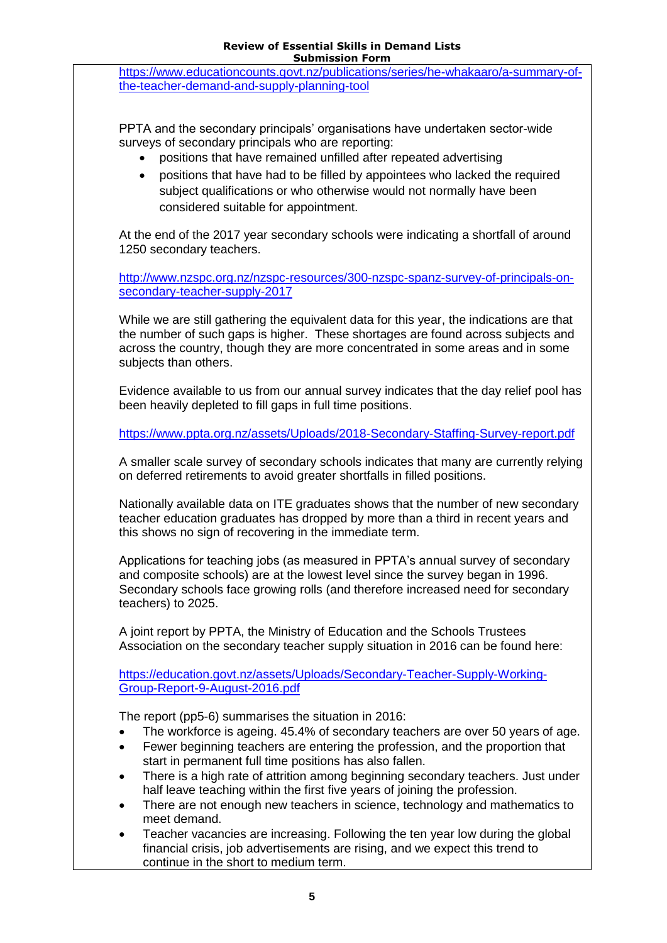[https://www.educationcounts.govt.nz/publications/series/he-whakaaro/a-summary-of](https://www.educationcounts.govt.nz/publications/series/he-whakaaro/a-summary-of-the-teacher-demand-and-supply-planning-tool)[the-teacher-demand-and-supply-planning-tool](https://www.educationcounts.govt.nz/publications/series/he-whakaaro/a-summary-of-the-teacher-demand-and-supply-planning-tool)

PPTA and the secondary principals' organisations have undertaken sector-wide surveys of secondary principals who are reporting:

- positions that have remained unfilled after repeated advertising
- positions that have had to be filled by appointees who lacked the required subject qualifications or who otherwise would not normally have been considered suitable for appointment.

At the end of the 2017 year secondary schools were indicating a shortfall of around 1250 secondary teachers.

[http://www.nzspc.org.nz/nzspc-resources/300-nzspc-spanz-survey-of-principals-on](http://www.nzspc.org.nz/nzspc-resources/300-nzspc-spanz-survey-of-principals-on-secondary-teacher-supply-2017)[secondary-teacher-supply-2017](http://www.nzspc.org.nz/nzspc-resources/300-nzspc-spanz-survey-of-principals-on-secondary-teacher-supply-2017)

While we are still gathering the equivalent data for this year, the indications are that the number of such gaps is higher. These shortages are found across subjects and across the country, though they are more concentrated in some areas and in some subjects than others.

Evidence available to us from our annual survey indicates that the day relief pool has been heavily depleted to fill gaps in full time positions.

<https://www.ppta.org.nz/assets/Uploads/2018-Secondary-Staffing-Survey-report.pdf>

A smaller scale survey of secondary schools indicates that many are currently relying on deferred retirements to avoid greater shortfalls in filled positions.

Nationally available data on ITE graduates shows that the number of new secondary teacher education graduates has dropped by more than a third in recent years and this shows no sign of recovering in the immediate term.

Applications for teaching jobs (as measured in PPTA's annual survey of secondary and composite schools) are at the lowest level since the survey began in 1996. Secondary schools face growing rolls (and therefore increased need for secondary teachers) to 2025.

A joint report by PPTA, the Ministry of Education and the Schools Trustees Association on the secondary teacher supply situation in 2016 can be found here:

[https://education.govt.nz/assets/Uploads/Secondary-Teacher-Supply-Working-](https://education.govt.nz/assets/Uploads/Secondary-Teacher-Supply-Working-Group-Report-9-August-2016.pdf)[Group-Report-9-August-2016.pdf](https://education.govt.nz/assets/Uploads/Secondary-Teacher-Supply-Working-Group-Report-9-August-2016.pdf)

The report (pp5-6) summarises the situation in 2016:

- The workforce is ageing. 45.4% of secondary teachers are over 50 years of age.
- Fewer beginning teachers are entering the profession, and the proportion that start in permanent full time positions has also fallen.
- There is a high rate of attrition among beginning secondary teachers. Just under half leave teaching within the first five years of joining the profession.
- There are not enough new teachers in science, technology and mathematics to meet demand.
- Teacher vacancies are increasing. Following the ten year low during the global financial crisis, job advertisements are rising, and we expect this trend to continue in the short to medium term.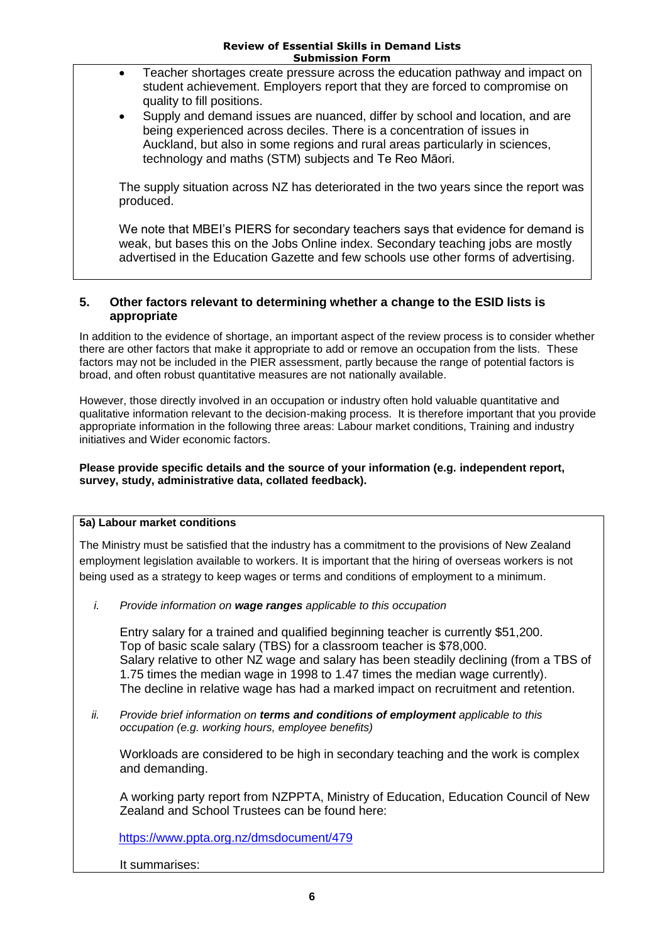- Teacher shortages create pressure across the education pathway and impact on student achievement. Employers report that they are forced to compromise on quality to fill positions.
- Supply and demand issues are nuanced, differ by school and location, and are being experienced across deciles. There is a concentration of issues in Auckland, but also in some regions and rural areas particularly in sciences, technology and maths (STM) subjects and Te Reo Māori.

The supply situation across NZ has deteriorated in the two years since the report was produced.

We note that MBEI's PIERS for secondary teachers says that evidence for demand is weak, but bases this on the Jobs Online index. Secondary teaching jobs are mostly advertised in the Education Gazette and few schools use other forms of advertising.

## **5. Other factors relevant to determining whether a change to the ESID lists is appropriate**

In addition to the evidence of shortage, an important aspect of the review process is to consider whether there are other factors that make it appropriate to add or remove an occupation from the lists. These factors may not be included in the PIER assessment, partly because the range of potential factors is broad, and often robust quantitative measures are not nationally available.

However, those directly involved in an occupation or industry often hold valuable quantitative and qualitative information relevant to the decision-making process. It is therefore important that you provide appropriate information in the following three areas: Labour market conditions, Training and industry initiatives and Wider economic factors.

#### **Please provide specific details and the source of your information (e.g. independent report, survey, study, administrative data, collated feedback).**

# **5a) Labour market conditions**

The Ministry must be satisfied that the industry has a commitment to the provisions of New Zealand employment legislation available to workers. It is important that the hiring of overseas workers is not being used as a strategy to keep wages or terms and conditions of employment to a minimum.

*i. Provide information on wage ranges applicable to this occupation*

Entry salary for a trained and qualified beginning teacher is currently \$51,200. Top of basic scale salary (TBS) for a classroom teacher is \$78,000. Salary relative to other NZ wage and salary has been steadily declining (from a TBS of 1.75 times the median wage in 1998 to 1.47 times the median wage currently). The decline in relative wage has had a marked impact on recruitment and retention.

*ii. Provide brief information on terms and conditions of employment applicable to this occupation (e.g. working hours, employee benefits)*

Workloads are considered to be high in secondary teaching and the work is complex and demanding.

A working party report from NZPPTA, Ministry of Education, Education Council of New Zealand and School Trustees can be found here:

<https://www.ppta.org.nz/dmsdocument/479>

It summarises: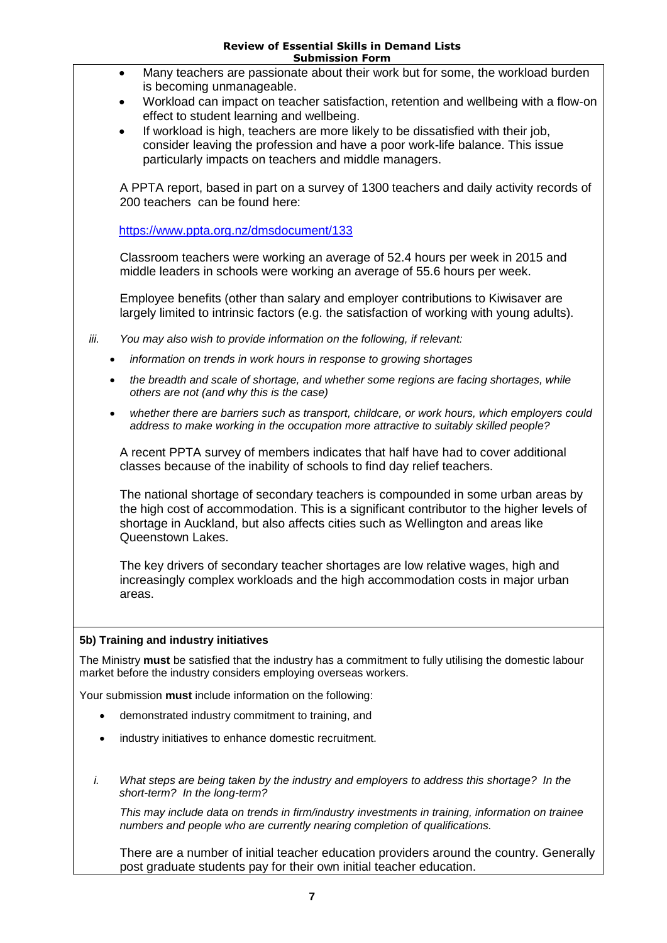# **Review of Essential Skills in Demand Lists**

| <b>Submission Form</b>                                                                                                                                                                                                                                                                |  |  |  |
|---------------------------------------------------------------------------------------------------------------------------------------------------------------------------------------------------------------------------------------------------------------------------------------|--|--|--|
| Many teachers are passionate about their work but for some, the workload burden<br>$\bullet$<br>is becoming unmanageable.<br>Workload can impact on teacher satisfaction, retention and wellbeing with a flow-on                                                                      |  |  |  |
| effect to student learning and wellbeing.<br>If workload is high, teachers are more likely to be dissatisfied with their job,<br>consider leaving the profession and have a poor work-life balance. This issue                                                                        |  |  |  |
| particularly impacts on teachers and middle managers.                                                                                                                                                                                                                                 |  |  |  |
| A PPTA report, based in part on a survey of 1300 teachers and daily activity records of<br>200 teachers can be found here:                                                                                                                                                            |  |  |  |
| https://www.ppta.org.nz/dmsdocument/133                                                                                                                                                                                                                                               |  |  |  |
| Classroom teachers were working an average of 52.4 hours per week in 2015 and<br>middle leaders in schools were working an average of 55.6 hours per week.                                                                                                                            |  |  |  |
| Employee benefits (other than salary and employer contributions to Kiwisaver are<br>largely limited to intrinsic factors (e.g. the satisfaction of working with young adults).                                                                                                        |  |  |  |
| iii.<br>You may also wish to provide information on the following, if relevant:                                                                                                                                                                                                       |  |  |  |
| information on trends in work hours in response to growing shortages<br>$\bullet$                                                                                                                                                                                                     |  |  |  |
| the breadth and scale of shortage, and whether some regions are facing shortages, while<br>$\bullet$<br>others are not (and why this is the case)                                                                                                                                     |  |  |  |
| whether there are barriers such as transport, childcare, or work hours, which employers could<br>$\bullet$<br>address to make working in the occupation more attractive to suitably skilled people?                                                                                   |  |  |  |
| A recent PPTA survey of members indicates that half have had to cover additional<br>classes because of the inability of schools to find day relief teachers.                                                                                                                          |  |  |  |
| The national shortage of secondary teachers is compounded in some urban areas by<br>the high cost of accommodation. This is a significant contributor to the higher levels of<br>shortage in Auckland, but also affects cities such as Wellington and areas like<br>Queenstown Lakes. |  |  |  |
| The key drivers of secondary teacher shortages are low relative wages, high and<br>increasingly complex workloads and the high accommodation costs in major urban<br>areas.                                                                                                           |  |  |  |
| 5b) Training and industry initiatives                                                                                                                                                                                                                                                 |  |  |  |
| The Ministry must be satisfied that the industry has a commitment to fully utilising the domestic labour<br>market before the industry considers employing overseas workers.                                                                                                          |  |  |  |
| Your submission must include information on the following:                                                                                                                                                                                                                            |  |  |  |
| demonstrated industry commitment to training, and                                                                                                                                                                                                                                     |  |  |  |
| industry initiatives to enhance domestic recruitment.<br>٠                                                                                                                                                                                                                            |  |  |  |
| i.<br>What steps are being taken by the industry and employers to address this shortage? In the<br>short-term? In the long-term?                                                                                                                                                      |  |  |  |

*This may include data on trends in firm/industry investments in training, information on trainee numbers and people who are currently nearing completion of qualifications.*

There are a number of initial teacher education providers around the country. Generally post graduate students pay for their own initial teacher education.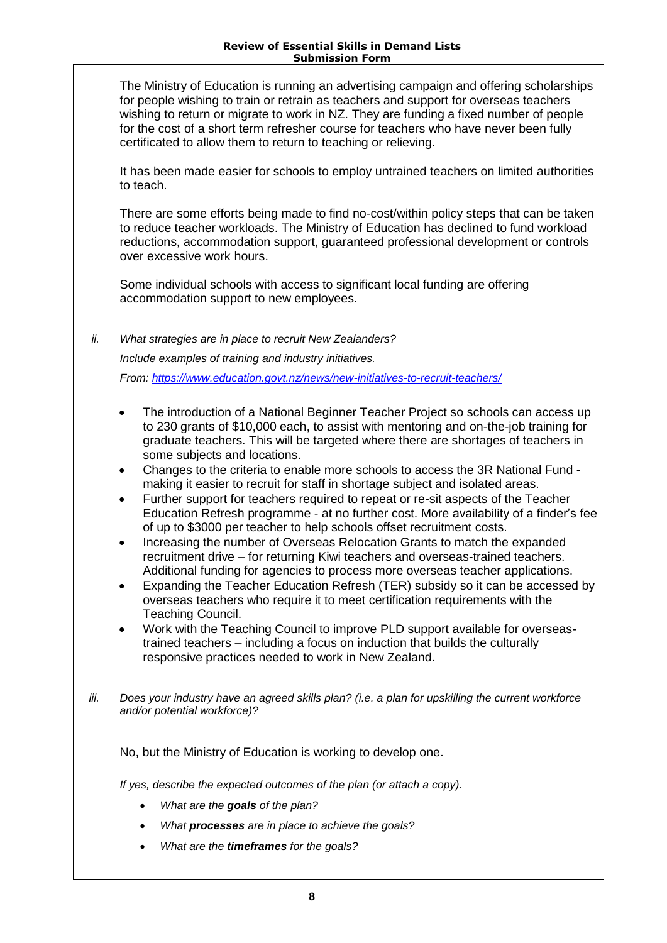The Ministry of Education is running an advertising campaign and offering scholarships for people wishing to train or retrain as teachers and support for overseas teachers wishing to return or migrate to work in NZ. They are funding a fixed number of people for the cost of a short term refresher course for teachers who have never been fully certificated to allow them to return to teaching or relieving.

It has been made easier for schools to employ untrained teachers on limited authorities to teach.

There are some efforts being made to find no-cost/within policy steps that can be taken to reduce teacher workloads. The Ministry of Education has declined to fund workload reductions, accommodation support, guaranteed professional development or controls over excessive work hours.

Some individual schools with access to significant local funding are offering accommodation support to new employees.

*ii. What strategies are in place to recruit New Zealanders? Include examples of training and industry initiatives. From:<https://www.education.govt.nz/news/new-initiatives-to-recruit-teachers/>*

- The introduction of a National Beginner Teacher Project so schools can access up to 230 grants of \$10,000 each, to assist with mentoring and on-the-job training for graduate teachers. This will be targeted where there are shortages of teachers in some subjects and locations.
- Changes to the criteria to enable more schools to access the 3R National Fund making it easier to recruit for staff in shortage subject and isolated areas.
- Further support for teachers required to repeat or re-sit aspects of the Teacher Education Refresh programme - at no further cost. More availability of a finder's fee of up to \$3000 per teacher to help schools offset recruitment costs.
- Increasing the number of Overseas Relocation Grants to match the expanded recruitment drive – for returning Kiwi teachers and overseas-trained teachers. Additional funding for agencies to process more overseas teacher applications.
- Expanding the Teacher Education Refresh (TER) subsidy so it can be accessed by overseas teachers who require it to meet certification requirements with the Teaching Council.
- Work with the Teaching Council to improve PLD support available for overseastrained teachers – including a focus on induction that builds the culturally responsive practices needed to work in New Zealand.
- *iii. Does your industry have an agreed skills plan? (i.e. a plan for upskilling the current workforce and/or potential workforce)?*

No, but the Ministry of Education is working to develop one.

*If yes, describe the expected outcomes of the plan (or attach a copy).*

- *What are the goals of the plan?*
- *What processes are in place to achieve the goals?*
- *What are the timeframes for the goals?*